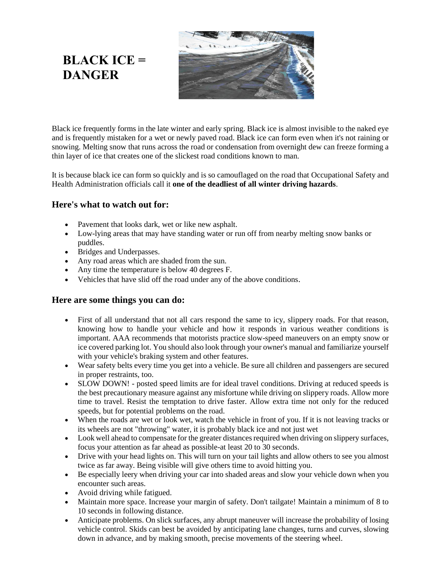Black ice frequently forms in the late winter and early spring. Black ice is almost invisible to the naked eye and is frequently mistaken for a wet or newly paved road. Black ice can form even when it's not raining or snowing. Melting snow that runs across the road or condensation from overnight dew can freeze forming a thin layer of ice that creates one of the slickest road conditions known to man.

It is because black ice can form so quickly and is so camouflaged on the road that Occupational Safety and Health Administration officials call it **one of the deadliest of all winter driving hazards**.

## **Here's what to watch out for:**

**BLACK ICE =** 

**DANGER**

- Pavement that looks dark, wet or like new asphalt.
- Low-lying areas that may have standing water or run off from nearby melting snow banks or puddles.
- Bridges and Underpasses.
- Any road areas which are shaded from the sun.
- Any time the temperature is below 40 degrees F.
- Vehicles that have slid off the road under any of the above conditions.

## **Here are some things you can do:**

- First of all understand that not all cars respond the same to icy, slippery roads. For that reason, knowing how to handle your vehicle and how it responds in various weather conditions is important. AAA recommends that motorists practice slow-speed maneuvers on an empty snow or ice covered parking lot. You should also look through your owner's manual and familiarize yourself with your vehicle's braking system and other features.
- Wear safety belts every time you get into a vehicle. Be sure all children and passengers are secured in proper restraints, too.
- SLOW DOWN! posted speed limits are for ideal travel conditions. Driving at reduced speeds is the best precautionary measure against any misfortune while driving on slippery roads. Allow more time to travel. Resist the temptation to drive faster. Allow extra time not only for the reduced speeds, but for potential problems on the road.
- When the roads are wet or look wet, watch the vehicle in front of you. If it is not leaving tracks or its wheels are not "throwing" water, it is probably black ice and not just wet
- Look well ahead to compensate for the greater distances required when driving on slippery surfaces, focus your attention as far ahead as possible-at least 20 to 30 seconds.
- Drive with your head lights on. This will turn on your tail lights and allow others to see you almost twice as far away. Being visible will give others time to avoid hitting you.
- Be especially leery when driving your car into shaded areas and slow your vehicle down when you encounter such areas.
- Avoid driving while fatigued.
- Maintain more space. Increase your margin of safety. Don't tailgate! Maintain a minimum of 8 to 10 seconds in following distance.
- Anticipate problems. On slick surfaces, any abrupt maneuver will increase the probability of losing vehicle control. Skids can best be avoided by anticipating lane changes, turns and curves, slowing down in advance, and by making smooth, precise movements of the steering wheel.